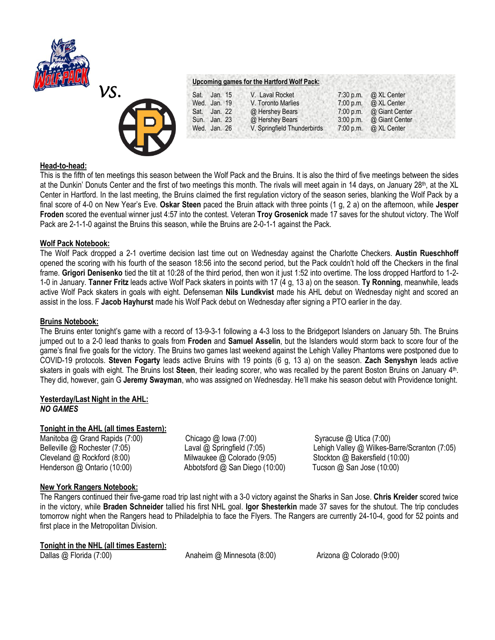



# **Upcoming games for the Hartford Wolf Pack:**

| Sat. Jan. 15 | V. Laval Rocket             |           | 7:30 p.m. $\omega$ XL Center |
|--------------|-----------------------------|-----------|------------------------------|
| Wed. Jan. 19 | V. Toronto Marlies          | 7:00 p.m. | @ XL Center                  |
| Sat. Jan. 22 | @ Hershey Bears             |           | 7:00 p.m. @ Giant Center     |
| Sun. Jan. 23 | @ Hershey Bears             |           | 3:00 p.m. @ Giant Center     |
| Wed. Jan. 26 | V. Springfield Thunderbirds |           | 7:00 p.m. $\omega$ XL Center |

### **Head-to-head:**

This is the fifth of ten meetings this season between the Wolf Pack and the Bruins. It is also the third of five meetings between the sides at the Dunkin' Donuts Center and the first of two meetings this month. The rivals will meet again in 14 days, on January 28<sup>th</sup>, at the XL Center in Hartford. In the last meeting, the Bruins claimed the first regulation victory of the season series, blanking the Wolf Pack by a final score of 4-0 on New Year's Eve. **Oskar Steen** paced the Bruin attack with three points (1 g, 2 a) on the afternoon, while **Jesper Froden** scored the eventual winner just 4:57 into the contest. Veteran **Troy Grosenick** made 17 saves for the shutout victory. The Wolf Pack are 2-1-1-0 against the Bruins this season, while the Bruins are 2-0-1-1 against the Pack.

## **Wolf Pack Notebook:**

The Wolf Pack dropped a 2-1 overtime decision last time out on Wednesday against the Charlotte Checkers. **Austin Rueschhoff**  opened the scoring with his fourth of the season 18:56 into the second period, but the Pack couldn't hold off the Checkers in the final frame. **Grigori Denisenko** tied the tilt at 10:28 of the third period, then won it just 1:52 into overtime. The loss dropped Hartford to 1-2- 1-0 in January. **Tanner Fritz** leads active Wolf Pack skaters in points with 17 (4 g, 13 a) on the season. **Ty Ronning**, meanwhile, leads active Wolf Pack skaters in goals with eight. Defenseman **Nils Lundkvist** made his AHL debut on Wednesday night and scored an assist in the loss. F **Jacob Hayhurst** made his Wolf Pack debut on Wednesday after signing a PTO earlier in the day.

### **Bruins Notebook:**

The Bruins enter tonight's game with a record of 13-9-3-1 following a 4-3 loss to the Bridgeport Islanders on January 5th. The Bruins jumped out to a 2-0 lead thanks to goals from **Froden** and **Samuel Asselin**, but the Islanders would storm back to score four of the game's final five goals for the victory. The Bruins two games last weekend against the Lehigh Valley Phantoms were postponed due to COVID-19 protocols. **Steven Fogarty** leads active Bruins with 19 points (6 g, 13 a) on the season. **Zach Senyshyn** leads active skaters in goals with eight. The Bruins lost **Steen**, their leading scorer, who was recalled by the parent Boston Bruins on January 4th . They did, however, gain G **Jeremy Swayman**, who was assigned on Wednesday. He'll make his season debut with Providence tonight.

### **Yesterday/Last Night in the AHL:** *NO GAMES*

## **Tonight in the AHL (all times Eastern):**

Manitoba @ Grand Rapids (7:00) Chicago @ Iowa (7:00) Syracuse @ Utica (7:00) Cleveland @ Rockford (8:00) Milwaukee @ Colorado (9:05) Stockton @ Bakersfield (10:00) Henderson @ Ontario (10:00) Abbotsford @ San Diego (10:00) Tucson @ San Jose (10:00)

Belleville @ Rochester (7:05) Laval @ Springfield (7:05) Lehigh Valley @ Wilkes-Barre/Scranton (7:05)

## **New York Rangers Notebook:**

The Rangers continued their five-game road trip last night with a 3-0 victory against the Sharks in San Jose. **Chris Kreider** scored twice in the victory, while **Braden Schneider** tallied his first NHL goal. **Igor Shesterkin** made 37 saves for the shutout. The trip concludes tomorrow night when the Rangers head to Philadelphia to face the Flyers. The Rangers are currently 24-10-4, good for 52 points and first place in the Metropolitan Division.

# **Tonight in the NHL (all times Eastern):**

Dallas @ Florida (7:00) Anaheim @ Minnesota (8:00) Arizona @ Colorado (9:00)